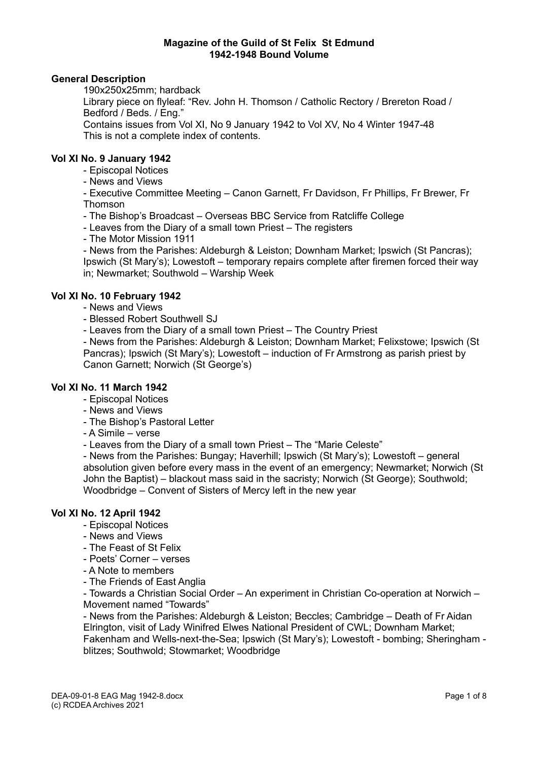# **General Description**

190x250x25mm; hardback

Library piece on flyleaf: "Rev. John H. Thomson / Catholic Rectory / Brereton Road / Bedford / Beds. / Eng."

Contains issues from Vol XI, No 9 January 1942 to Vol XV, No 4 Winter 1947-48 This is not a complete index of contents.

### **Vol XI No. 9 January 1942**

- Episcopal Notices

- News and Views

- Executive Committee Meeting – Canon Garnett, Fr Davidson, Fr Phillips, Fr Brewer, Fr Thomson

- The Bishop's Broadcast – Overseas BBC Service from Ratcliffe College

- Leaves from the Diary of a small town Priest – The registers

- The Motor Mission 1911

- News from the Parishes: Aldeburgh & Leiston; Downham Market; Ipswich (St Pancras); Ipswich (St Mary's); Lowestoft – temporary repairs complete after firemen forced their way in; Newmarket; Southwold – Warship Week

# **Vol XI No. 10 February 1942**

- News and Views
- Blessed Robert Southwell SJ

- Leaves from the Diary of a small town Priest – The Country Priest

- News from the Parishes: Aldeburgh & Leiston; Downham Market; Felixstowe; Ipswich (St Pancras); Ipswich (St Mary's); Lowestoft – induction of Fr Armstrong as parish priest by Canon Garnett; Norwich (St George's)

# **Vol XI No. 11 March 1942**

- Episcopal Notices
- News and Views
- The Bishop's Pastoral Letter
- A Simile verse
- Leaves from the Diary of a small town Priest The "Marie Celeste"

- News from the Parishes: Bungay; Haverhill; Ipswich (St Mary's); Lowestoft – general absolution given before every mass in the event of an emergency; Newmarket; Norwich (St John the Baptist) – blackout mass said in the sacristy; Norwich (St George); Southwold; Woodbridge – Convent of Sisters of Mercy left in the new year

# **Vol XI No. 12 April 1942**

- Episcopal Notices
- News and Views
- The Feast of St Felix
- Poets' Corner verses
- A Note to members
- The Friends of East Anglia

- Towards a Christian Social Order – An experiment in Christian Co-operation at Norwich – Movement named "Towards"

- News from the Parishes: Aldeburgh & Leiston; Beccles; Cambridge – Death of Fr Aidan Elrington, visit of Lady Winifred Elwes National President of CWL; Downham Market; Fakenham and Wells-next-the-Sea; Ipswich (St Mary's); Lowestoft - bombing; Sheringham blitzes; Southwold; Stowmarket; Woodbridge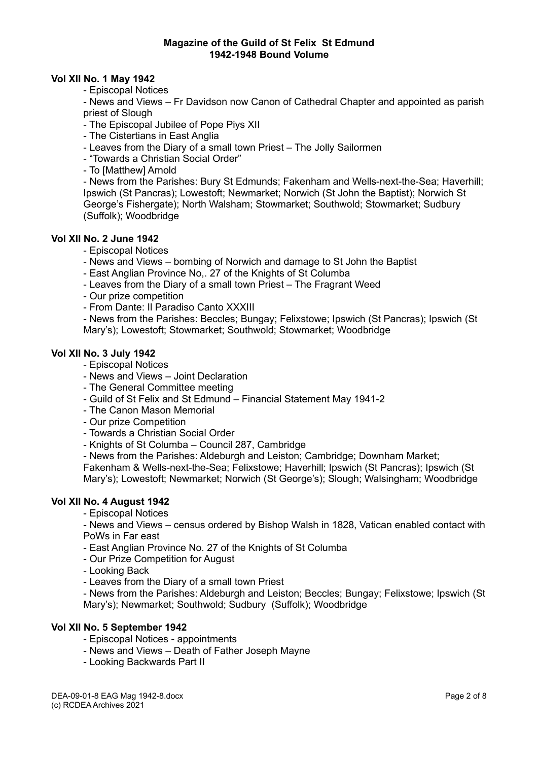### **Vol XII No. 1 May 1942**

- Episcopal Notices

- News and Views – Fr Davidson now Canon of Cathedral Chapter and appointed as parish priest of Slough

- The Episcopal Jubilee of Pope Piys XII

- The Cistertians in East Anglia

- Leaves from the Diary of a small town Priest – The Jolly Sailormen

- "Towards a Christian Social Order"

- To [Matthew] Arnold

- News from the Parishes: Bury St Edmunds; Fakenham and Wells-next-the-Sea; Haverhill; Ipswich (St Pancras); Lowestoft; Newmarket; Norwich (St John the Baptist); Norwich St George's Fishergate); North Walsham; Stowmarket; Southwold; Stowmarket; Sudbury (Suffolk); Woodbridge

# **Vol XII No. 2 June 1942**

- Episcopal Notices
- News and Views bombing of Norwich and damage to St John the Baptist
- East Anglian Province No,. 27 of the Knights of St Columba
- Leaves from the Diary of a small town Priest The Fragrant Weed
- Our prize competition
- From Dante: Il Paradiso Canto XXXIII

- News from the Parishes: Beccles; Bungay; Felixstowe; Ipswich (St Pancras); Ipswich (St Mary's); Lowestoft; Stowmarket; Southwold; Stowmarket; Woodbridge

### **Vol XII No. 3 July 1942**

- Episcopal Notices
- News and Views Joint Declaration
- The General Committee meeting
- Guild of St Felix and St Edmund Financial Statement May 1941-2
- The Canon Mason Memorial
- Our prize Competition
- Towards a Christian Social Order
- Knights of St Columba Council 287, Cambridge
- News from the Parishes: Aldeburgh and Leiston; Cambridge; Downham Market;

Fakenham & Wells-next-the-Sea; Felixstowe; Haverhill; Ipswich (St Pancras); Ipswich (St Mary's); Lowestoft; Newmarket; Norwich (St George's); Slough; Walsingham; Woodbridge

### **Vol XII No. 4 August 1942**

- Episcopal Notices

- News and Views – census ordered by Bishop Walsh in 1828, Vatican enabled contact with PoWs in Far east

- East Anglian Province No. 27 of the Knights of St Columba

- Our Prize Competition for August
- Looking Back
- Leaves from the Diary of a small town Priest

- News from the Parishes: Aldeburgh and Leiston; Beccles; Bungay; Felixstowe; Ipswich (St Mary's); Newmarket; Southwold; Sudbury (Suffolk); Woodbridge

### **Vol XII No. 5 September 1942**

- Episcopal Notices appointments
- News and Views Death of Father Joseph Mayne
- Looking Backwards Part II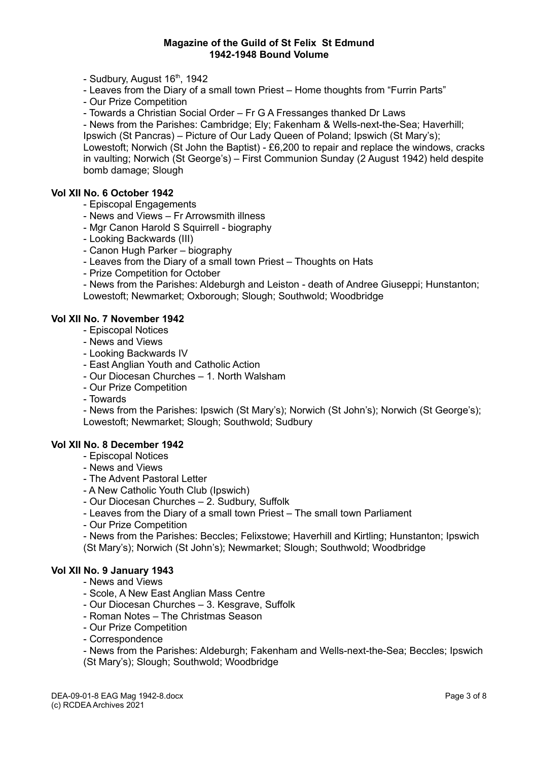- Sudbury, August  $16<sup>th</sup>$ , 1942

- Leaves from the Diary of a small town Priest – Home thoughts from "Furrin Parts"

- Our Prize Competition

- Towards a Christian Social Order – Fr G A Fressanges thanked Dr Laws

- News from the Parishes: Cambridge; Ely; Fakenham & Wells-next-the-Sea; Haverhill;

Ipswich (St Pancras) – Picture of Our Lady Queen of Poland; Ipswich (St Mary's);

Lowestoft; Norwich (St John the Baptist) - £6,200 to repair and replace the windows, cracks in vaulting; Norwich (St George's) – First Communion Sunday (2 August 1942) held despite bomb damage; Slough

# **Vol XII No. 6 October 1942**

- Episcopal Engagements

- News and Views Fr Arrowsmith illness
- Mgr Canon Harold S Squirrell biography
- Looking Backwards (III)
- Canon Hugh Parker biography
- Leaves from the Diary of a small town Priest Thoughts on Hats
- Prize Competition for October
- News from the Parishes: Aldeburgh and Leiston death of Andree Giuseppi; Hunstanton;
- Lowestoft; Newmarket; Oxborough; Slough; Southwold; Woodbridge

# **Vol XII No. 7 November 1942**

- Episcopal Notices
- News and Views
- Looking Backwards IV
- East Anglian Youth and Catholic Action
- Our Diocesan Churches 1. North Walsham
- Our Prize Competition
- Towards

- News from the Parishes: Ipswich (St Mary's); Norwich (St John's); Norwich (St George's); Lowestoft; Newmarket; Slough; Southwold; Sudbury

### **Vol XII No. 8 December 1942**

- Episcopal Notices
- News and Views
- The Advent Pastoral Letter
- A New Catholic Youth Club (Ipswich)
- Our Diocesan Churches 2. Sudbury, Suffolk
- Leaves from the Diary of a small town Priest The small town Parliament
- Our Prize Competition

- News from the Parishes: Beccles; Felixstowe; Haverhill and Kirtling; Hunstanton; Ipswich (St Mary's); Norwich (St John's); Newmarket; Slough; Southwold; Woodbridge

### **Vol XII No. 9 January 1943**

- News and Views
- Scole, A New East Anglian Mass Centre
- Our Diocesan Churches 3. Kesgrave, Suffolk
- Roman Notes The Christmas Season
- Our Prize Competition
- Correspondence

- News from the Parishes: Aldeburgh; Fakenham and Wells-next-the-Sea; Beccles; Ipswich (St Mary's); Slough; Southwold; Woodbridge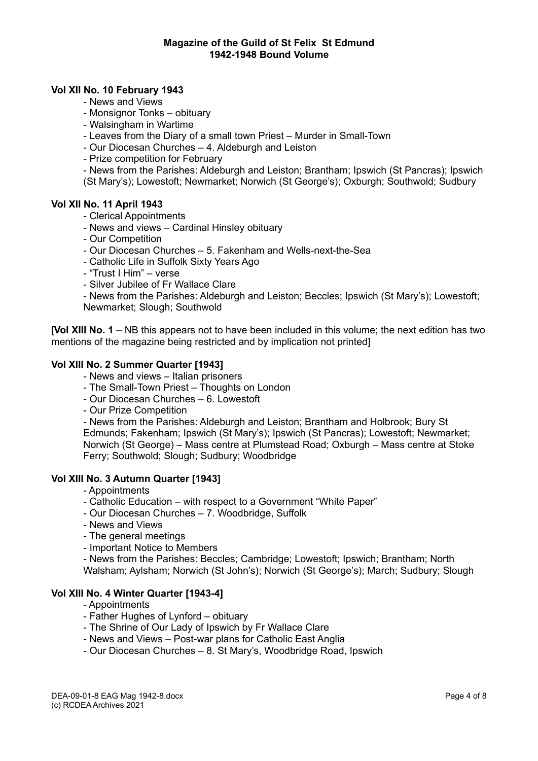### **Vol XII No. 10 February 1943**

- News and Views
- Monsignor Tonks obituary
- Walsingham in Wartime
- Leaves from the Diary of a small town Priest Murder in Small-Town
- Our Diocesan Churches 4. Aldeburgh and Leiston
- Prize competition for February

- News from the Parishes: Aldeburgh and Leiston; Brantham; Ipswich (St Pancras); Ipswich (St Mary's); Lowestoft; Newmarket; Norwich (St George's); Oxburgh; Southwold; Sudbury

### **Vol XII No. 11 April 1943**

- Clerical Appointments
- News and views Cardinal Hinsley obituary
- Our Competition
- Our Diocesan Churches 5. Fakenham and Wells-next-the-Sea
- Catholic Life in Suffolk Sixty Years Ago
- "Trust I Him" verse
- Silver Jubilee of Fr Wallace Clare

- News from the Parishes: Aldeburgh and Leiston; Beccles; Ipswich (St Mary's); Lowestoft; Newmarket; Slough; Southwold

[**Vol XIII No. 1** – NB this appears not to have been included in this volume; the next edition has two mentions of the magazine being restricted and by implication not printed]

### **Vol XIII No. 2 Summer Quarter [1943]**

- News and views Italian prisoners
- The Small-Town Priest Thoughts on London
- Our Diocesan Churches 6. Lowestoft
- Our Prize Competition

- News from the Parishes: Aldeburgh and Leiston; Brantham and Holbrook; Bury St Edmunds; Fakenham; Ipswich (St Mary's); Ipswich (St Pancras); Lowestoft; Newmarket; Norwich (St George) – Mass centre at Plumstead Road; Oxburgh – Mass centre at Stoke Ferry; Southwold; Slough; Sudbury; Woodbridge

### **Vol XIII No. 3 Autumn Quarter [1943]**

- Appointments
- Catholic Education with respect to a Government "White Paper"
- Our Diocesan Churches 7. Woodbridge, Suffolk
- News and Views
- The general meetings
- Important Notice to Members
- News from the Parishes: Beccles; Cambridge; Lowestoft; Ipswich; Brantham; North Walsham; Aylsham; Norwich (St John's); Norwich (St George's); March; Sudbury; Slough

### **Vol XIII No. 4 Winter Quarter [1943-4]**

- Appointments
- Father Hughes of Lynford obituary
- The Shrine of Our Lady of Ipswich by Fr Wallace Clare
- News and Views Post-war plans for Catholic East Anglia
- Our Diocesan Churches 8. St Mary's, Woodbridge Road, Ipswich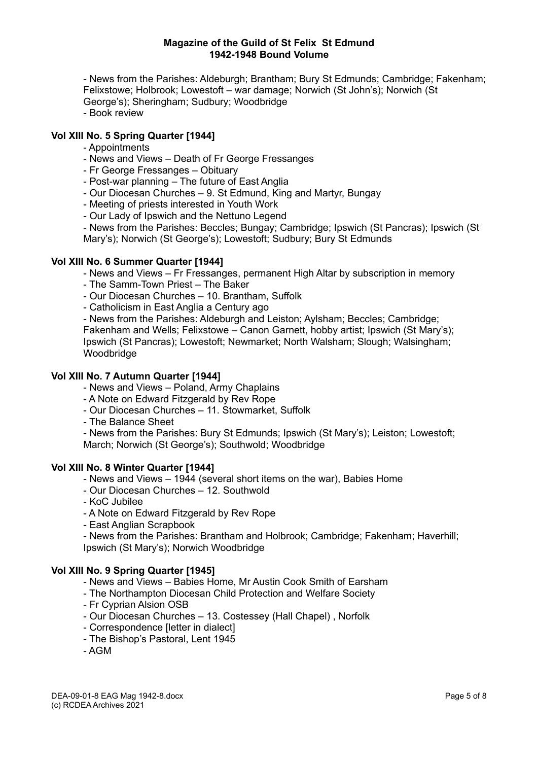- News from the Parishes: Aldeburgh; Brantham; Bury St Edmunds; Cambridge; Fakenham; Felixstowe; Holbrook; Lowestoft – war damage; Norwich (St John's); Norwich (St George's); Sheringham; Sudbury; Woodbridge - Book review

# **Vol XIII No. 5 Spring Quarter [1944]**

- Appointments
- News and Views Death of Fr George Fressanges
- Fr George Fressanges Obituary
- Post-war planning The future of East Anglia
- Our Diocesan Churches 9. St Edmund, King and Martyr, Bungay
- Meeting of priests interested in Youth Work
- Our Lady of Ipswich and the Nettuno Legend

- News from the Parishes: Beccles; Bungay; Cambridge; Ipswich (St Pancras); Ipswich (St Mary's); Norwich (St George's); Lowestoft; Sudbury; Bury St Edmunds

### **Vol XIII No. 6 Summer Quarter [1944]**

- News and Views – Fr Fressanges, permanent High Altar by subscription in memory

- The Samm-Town Priest The Baker
- Our Diocesan Churches 10. Brantham, Suffolk
- Catholicism in East Anglia a Century ago

- News from the Parishes: Aldeburgh and Leiston; Aylsham; Beccles; Cambridge; Fakenham and Wells; Felixstowe – Canon Garnett, hobby artist; Ipswich (St Mary's); Ipswich (St Pancras); Lowestoft; Newmarket; North Walsham; Slough; Walsingham; **Woodbridge** 

# **Vol XIII No. 7 Autumn Quarter [1944]**

- News and Views Poland, Army Chaplains
- A Note on Edward Fitzgerald by Rev Rope
- Our Diocesan Churches 11. Stowmarket, Suffolk
- The Balance Sheet

- News from the Parishes: Bury St Edmunds; Ipswich (St Mary's); Leiston; Lowestoft; March; Norwich (St George's); Southwold; Woodbridge

### **Vol XIII No. 8 Winter Quarter [1944]**

- News and Views 1944 (several short items on the war), Babies Home
- Our Diocesan Churches 12. Southwold
- KoC Jubilee
- A Note on Edward Fitzgerald by Rev Rope
- East Anglian Scrapbook

- News from the Parishes: Brantham and Holbrook; Cambridge; Fakenham; Haverhill; Ipswich (St Mary's); Norwich Woodbridge

# **Vol XIII No. 9 Spring Quarter [1945]**

- News and Views Babies Home, Mr Austin Cook Smith of Earsham
- The Northampton Diocesan Child Protection and Welfare Society
- Fr Cyprian Alsion OSB
- Our Diocesan Churches 13. Costessey (Hall Chapel) , Norfolk
- Correspondence [letter in dialect]
- The Bishop's Pastoral, Lent 1945
- AGM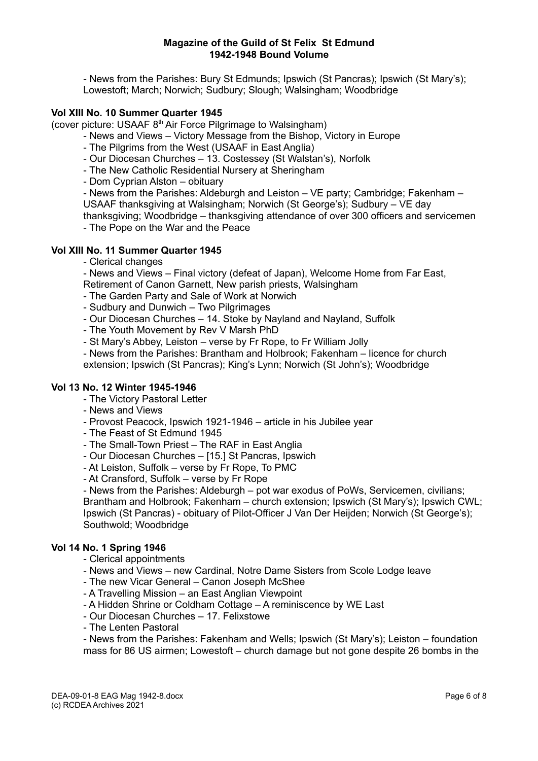- News from the Parishes: Bury St Edmunds; Ipswich (St Pancras); Ipswich (St Mary's); Lowestoft; March; Norwich; Sudbury; Slough; Walsingham; Woodbridge

### **Vol XIII No. 10 Summer Quarter 1945**

(cover picture: USAAF  $8<sup>th</sup>$  Air Force Pilgrimage to Walsingham)

- News and Views Victory Message from the Bishop, Victory in Europe
- The Pilgrims from the West (USAAF in East Anglia)
- Our Diocesan Churches 13. Costessey (St Walstan's), Norfolk
- The New Catholic Residential Nursery at Sheringham

- Dom Cyprian Alston – obituary

- News from the Parishes: Aldeburgh and Leiston – VE party; Cambridge; Fakenham – USAAF thanksgiving at Walsingham; Norwich (St George's); Sudbury – VE day thanksgiving; Woodbridge – thanksgiving attendance of over 300 officers and servicemen - The Pope on the War and the Peace

# **Vol XIII No. 11 Summer Quarter 1945**

- Clerical changes

- News and Views – Final victory (defeat of Japan), Welcome Home from Far East, Retirement of Canon Garnett, New parish priests, Walsingham

- The Garden Party and Sale of Work at Norwich

- Sudbury and Dunwich Two Pilgrimages
- Our Diocesan Churches 14. Stoke by Nayland and Nayland, Suffolk
- The Youth Movement by Rev V Marsh PhD
- St Mary's Abbey, Leiston verse by Fr Rope, to Fr William Jolly

- News from the Parishes: Brantham and Holbrook; Fakenham – licence for church extension; Ipswich (St Pancras); King's Lynn; Norwich (St John's); Woodbridge

#### **Vol 13 No. 12 Winter 1945-1946**

- The Victory Pastoral Letter

- News and Views

- Provost Peacock, Ipswich 1921-1946 article in his Jubilee year
- The Feast of St Edmund 1945
- The Small-Town Priest The RAF in East Anglia
- Our Diocesan Churches [15.] St Pancras, Ipswich
- At Leiston, Suffolk verse by Fr Rope, To PMC
- At Cransford, Suffolk verse by Fr Rope

- News from the Parishes: Aldeburgh – pot war exodus of PoWs, Servicemen, civilians; Brantham and Holbrook; Fakenham – church extension; Ipswich (St Mary's); Ipswich CWL; Ipswich (St Pancras) - obituary of Pilot-Officer J Van Der Heijden; Norwich (St George's); Southwold; Woodbridge

#### **Vol 14 No. 1 Spring 1946**

- Clerical appointments
- News and Views new Cardinal, Notre Dame Sisters from Scole Lodge leave
- The new Vicar General Canon Joseph McShee
- A Travelling Mission an East Anglian Viewpoint
- A Hidden Shrine or Coldham Cottage A reminiscence by WE Last
- Our Diocesan Churches 17. Felixstowe
- The Lenten Pastoral

- News from the Parishes: Fakenham and Wells; Ipswich (St Mary's); Leiston – foundation mass for 86 US airmen; Lowestoft – church damage but not gone despite 26 bombs in the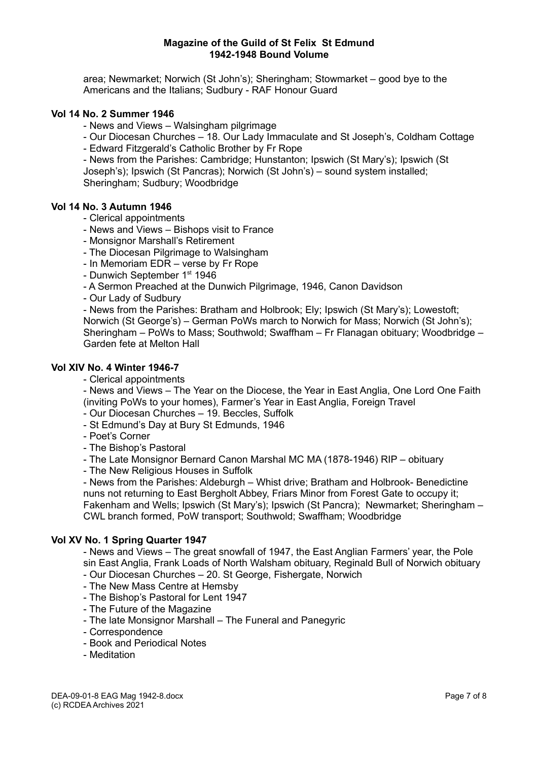area; Newmarket; Norwich (St John's); Sheringham; Stowmarket – good bye to the Americans and the Italians; Sudbury - RAF Honour Guard

# **Vol 14 No. 2 Summer 1946**

- News and Views – Walsingham pilgrimage

- Our Diocesan Churches 18. Our Lady Immaculate and St Joseph's, Coldham Cottage
- Edward Fitzgerald's Catholic Brother by Fr Rope

- News from the Parishes: Cambridge; Hunstanton; Ipswich (St Mary's); Ipswich (St Joseph's); Ipswich (St Pancras); Norwich (St John's) – sound system installed; Sheringham; Sudbury; Woodbridge

### **Vol 14 No. 3 Autumn 1946**

- Clerical appointments
- News and Views Bishops visit to France
- Monsignor Marshall's Retirement
- The Diocesan Pilgrimage to Walsingham
- In Memoriam EDR verse by Fr Rope
- Dunwich September 1<sup>st</sup> 1946
- A Sermon Preached at the Dunwich Pilgrimage, 1946, Canon Davidson
- Our Lady of Sudbury

- News from the Parishes: Bratham and Holbrook; Ely; Ipswich (St Mary's); Lowestoft; Norwich (St George's) – German PoWs march to Norwich for Mass; Norwich (St John's); Sheringham – PoWs to Mass; Southwold; Swaffham – Fr Flanagan obituary; Woodbridge – Garden fete at Melton Hall

#### **Vol XIV No. 4 Winter 1946-7**

#### - Clerical appointments

- News and Views – The Year on the Diocese, the Year in East Anglia, One Lord One Faith (inviting PoWs to your homes), Farmer's Year in East Anglia, Foreign Travel

- Our Diocesan Churches 19. Beccles, Suffolk
- St Edmund's Day at Bury St Edmunds, 1946
- Poet's Corner
- The Bishop's Pastoral

- The Late Monsignor Bernard Canon Marshal MC MA (1878-1946) RIP – obituary

- The New Religious Houses in Suffolk

- News from the Parishes: Aldeburgh – Whist drive; Bratham and Holbrook- Benedictine nuns not returning to East Bergholt Abbey, Friars Minor from Forest Gate to occupy it; Fakenham and Wells; Ipswich (St Mary's); Ipswich (St Pancra); Newmarket; Sheringham – CWL branch formed, PoW transport; Southwold; Swaffham; Woodbridge

### **Vol XV No. 1 Spring Quarter 1947**

- News and Views – The great snowfall of 1947, the East Anglian Farmers' year, the Pole sin East Anglia, Frank Loads of North Walsham obituary, Reginald Bull of Norwich obituary

- Our Diocesan Churches 20. St George, Fishergate, Norwich
- The New Mass Centre at Hemsby
- The Bishop's Pastoral for Lent 1947
- The Future of the Magazine
- The late Monsignor Marshall The Funeral and Panegyric
- Correspondence
- Book and Periodical Notes
- Meditation